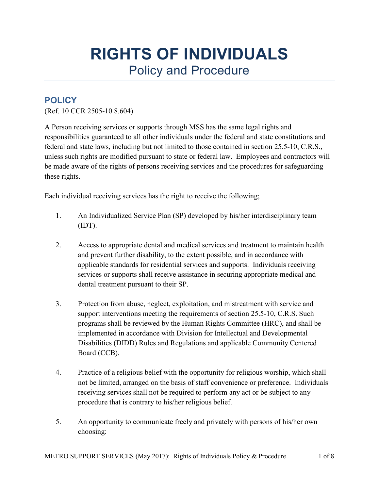# **RIGHTS OF INDIVIDUALS** Policy and Procedure

## **POLICY**

(Ref. 10 CCR 2505-10 8.604)

A Person receiving services or supports through MSS has the same legal rights and responsibilities guaranteed to all other individuals under the federal and state constitutions and federal and state laws, including but not limited to those contained in section 25.5-10, C.R.S., unless such rights are modified pursuant to state or federal law. Employees and contractors will be made aware of the rights of persons receiving services and the procedures for safeguarding these rights.

Each individual receiving services has the right to receive the following;

- 1. An Individualized Service Plan (SP) developed by his/her interdisciplinary team (IDT).
- 2. Access to appropriate dental and medical services and treatment to maintain health and prevent further disability, to the extent possible, and in accordance with applicable standards for residential services and supports. Individuals receiving services or supports shall receive assistance in securing appropriate medical and dental treatment pursuant to their SP.
- 3. Protection from abuse, neglect, exploitation, and mistreatment with service and support interventions meeting the requirements of section 25.5-10, C.R.S. Such programs shall be reviewed by the Human Rights Committee (HRC), and shall be implemented in accordance with Division for Intellectual and Developmental Disabilities (DIDD) Rules and Regulations and applicable Community Centered Board (CCB).
- 4. Practice of a religious belief with the opportunity for religious worship, which shall not be limited, arranged on the basis of staff convenience or preference. Individuals receiving services shall not be required to perform any act or be subject to any procedure that is contrary to his/her religious belief.
- 5. An opportunity to communicate freely and privately with persons of his/her own choosing: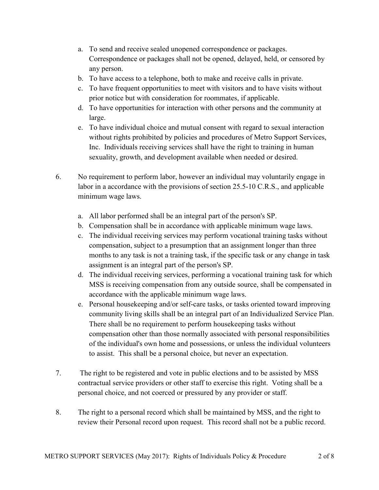- a. To send and receive sealed unopened correspondence or packages. Correspondence or packages shall not be opened, delayed, held, or censored by any person.
- b. To have access to a telephone, both to make and receive calls in private.
- c. To have frequent opportunities to meet with visitors and to have visits without prior notice but with consideration for roommates, if applicable.
- d. To have opportunities for interaction with other persons and the community at large.
- e. To have individual choice and mutual consent with regard to sexual interaction without rights prohibited by policies and procedures of Metro Support Services, Inc. Individuals receiving services shall have the right to training in human sexuality, growth, and development available when needed or desired.
- 6. No requirement to perform labor, however an individual may voluntarily engage in labor in a accordance with the provisions of section 25.5-10 C.R.S., and applicable minimum wage laws.
	- a. All labor performed shall be an integral part of the person's SP.
	- b. Compensation shall be in accordance with applicable minimum wage laws.
	- c. The individual receiving services may perform vocational training tasks without compensation, subject to a presumption that an assignment longer than three months to any task is not a training task, if the specific task or any change in task assignment is an integral part of the person's SP.
	- d. The individual receiving services, performing a vocational training task for which MSS is receiving compensation from any outside source, shall be compensated in accordance with the applicable minimum wage laws.
	- e. Personal housekeeping and/or self-care tasks, or tasks oriented toward improving community living skills shall be an integral part of an Individualized Service Plan. There shall be no requirement to perform housekeeping tasks without compensation other than those normally associated with personal responsibilities of the individual's own home and possessions, or unless the individual volunteers to assist. This shall be a personal choice, but never an expectation.
- 7. The right to be registered and vote in public elections and to be assisted by MSS contractual service providers or other staff to exercise this right. Voting shall be a personal choice, and not coerced or pressured by any provider or staff.
- 8. The right to a personal record which shall be maintained by MSS, and the right to review their Personal record upon request. This record shall not be a public record.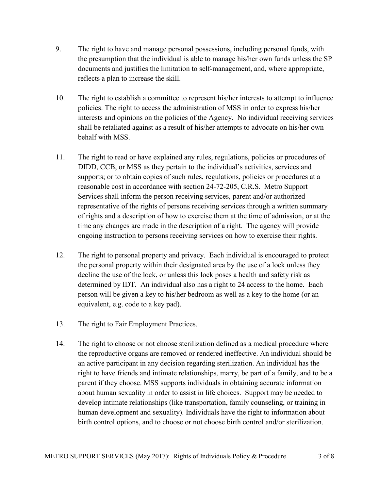- 9. The right to have and manage personal possessions, including personal funds, with the presumption that the individual is able to manage his/her own funds unless the SP documents and justifies the limitation to self-management, and, where appropriate, reflects a plan to increase the skill.
- 10. The right to establish a committee to represent his/her interests to attempt to influence policies. The right to access the administration of MSS in order to express his/her interests and opinions on the policies of the Agency. No individual receiving services shall be retaliated against as a result of his/her attempts to advocate on his/her own behalf with MSS.
- 11. The right to read or have explained any rules, regulations, policies or procedures of DIDD, CCB, or MSS as they pertain to the individual's activities, services and supports; or to obtain copies of such rules, regulations, policies or procedures at a reasonable cost in accordance with section 24-72-205, C.R.S. Metro Support Services shall inform the person receiving services, parent and/or authorized representative of the rights of persons receiving services through a written summary of rights and a description of how to exercise them at the time of admission, or at the time any changes are made in the description of a right. The agency will provide ongoing instruction to persons receiving services on how to exercise their rights.
- 12. The right to personal property and privacy. Each individual is encouraged to protect the personal property within their designated area by the use of a lock unless they decline the use of the lock, or unless this lock poses a health and safety risk as determined by IDT. An individual also has a right to 24 access to the home. Each person will be given a key to his/her bedroom as well as a key to the home (or an equivalent, e.g. code to a key pad).
- 13. The right to Fair Employment Practices.
- 14. The right to choose or not choose sterilization defined as a medical procedure where the reproductive organs are removed or rendered ineffective. An individual should be an active participant in any decision regarding sterilization. An individual has the right to have friends and intimate relationships, marry, be part of a family, and to be a parent if they choose. MSS supports individuals in obtaining accurate information about human sexuality in order to assist in life choices. Support may be needed to develop intimate relationships (like transportation, family counseling, or training in human development and sexuality). Individuals have the right to information about birth control options, and to choose or not choose birth control and/or sterilization.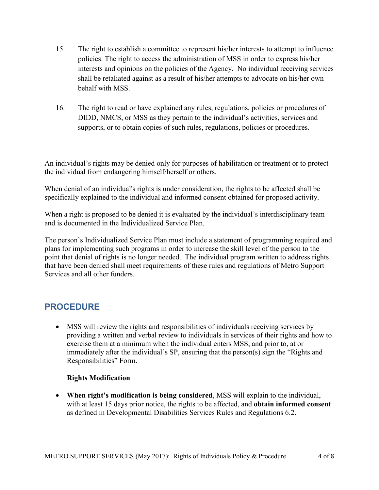- 15. The right to establish a committee to represent his/her interests to attempt to influence policies. The right to access the administration of MSS in order to express his/her interests and opinions on the policies of the Agency. No individual receiving services shall be retaliated against as a result of his/her attempts to advocate on his/her own behalf with MSS.
- 16. The right to read or have explained any rules, regulations, policies or procedures of DIDD, NMCS, or MSS as they pertain to the individual's activities, services and supports, or to obtain copies of such rules, regulations, policies or procedures.

An individual's rights may be denied only for purposes of habilitation or treatment or to protect the individual from endangering himself/herself or others.

When denial of an individual's rights is under consideration, the rights to be affected shall be specifically explained to the individual and informed consent obtained for proposed activity.

When a right is proposed to be denied it is evaluated by the individual's interdisciplinary team and is documented in the Individualized Service Plan.

The person's Individualized Service Plan must include a statement of programming required and plans for implementing such programs in order to increase the skill level of the person to the point that denial of rights is no longer needed. The individual program written to address rights that have been denied shall meet requirements of these rules and regulations of Metro Support Services and all other funders.

## **PROCEDURE**

 MSS will review the rights and responsibilities of individuals receiving services by providing a written and verbal review to individuals in services of their rights and how to exercise them at a minimum when the individual enters MSS, and prior to, at or immediately after the individual's SP, ensuring that the person(s) sign the "Rights and Responsibilities" Form.

### **Rights Modification**

 **When right's modification is being considered**, MSS will explain to the individual, with at least 15 days prior notice, the rights to be affected, and **obtain informed consent** as defined in Developmental Disabilities Services Rules and Regulations 6.2.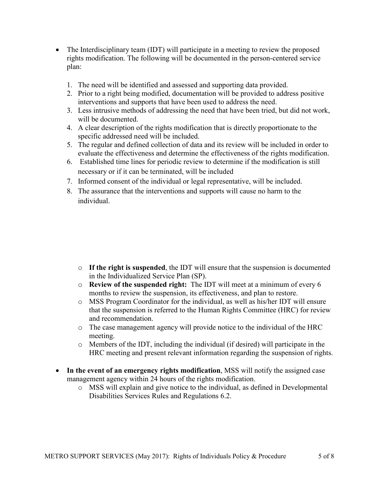- The Interdisciplinary team (IDT) will participate in a meeting to review the proposed rights modification. The following will be documented in the person-centered service plan:
	- 1. The need will be identified and assessed and supporting data provided.
	- 2. Prior to a right being modified, documentation will be provided to address positive interventions and supports that have been used to address the need.
	- 3. Less intrusive methods of addressing the need that have been tried, but did not work, will be documented.
	- 4. A clear description of the rights modification that is directly proportionate to the specific addressed need will be included.
	- 5. The regular and defined collection of data and its review will be included in order to evaluate the effectiveness and determine the effectiveness of the rights modification.
	- 6. Established time lines for periodic review to determine if the modification is still necessary or if it can be terminated, will be included
	- 7. Informed consent of the individual or legal representative, will be included.
	- 8. The assurance that the interventions and supports will cause no harm to the individual.

- o **If the right is suspended**, the IDT will ensure that the suspension is documented in the Individualized Service Plan (SP).
- o **Review of the suspended right:** The IDT will meet at a minimum of every 6 months to review the suspension, its effectiveness, and plan to restore.
- o MSS Program Coordinator for the individual, as well as his/her IDT will ensure that the suspension is referred to the Human Rights Committee (HRC) for review and recommendation.
- o The case management agency will provide notice to the individual of the HRC meeting.
- o Members of the IDT, including the individual (if desired) will participate in the HRC meeting and present relevant information regarding the suspension of rights.
- **In the event of an emergency rights modification**, MSS will notify the assigned case management agency within 24 hours of the rights modification.
	- o MSS will explain and give notice to the individual, as defined in Developmental Disabilities Services Rules and Regulations 6.2.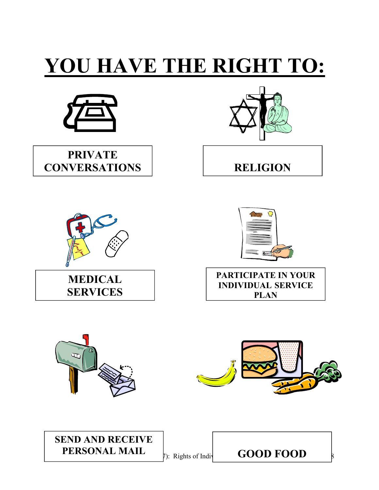# **YOU HAVE THE RIGHT TO:**



**PRIVATE CONVERSATIONS RELIGION**











## **SEND AND RECEIVE PERSONAL MAIL**

**PERSONAL MAIL**  $\big|_{\text{D}: \text{ Rights of Indi}}$  **GOOD FOOD**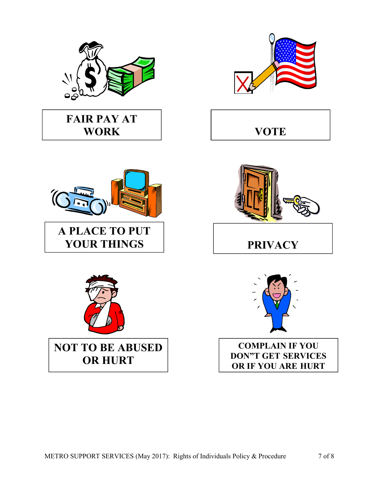

## **FAIR PAY AT WORK**